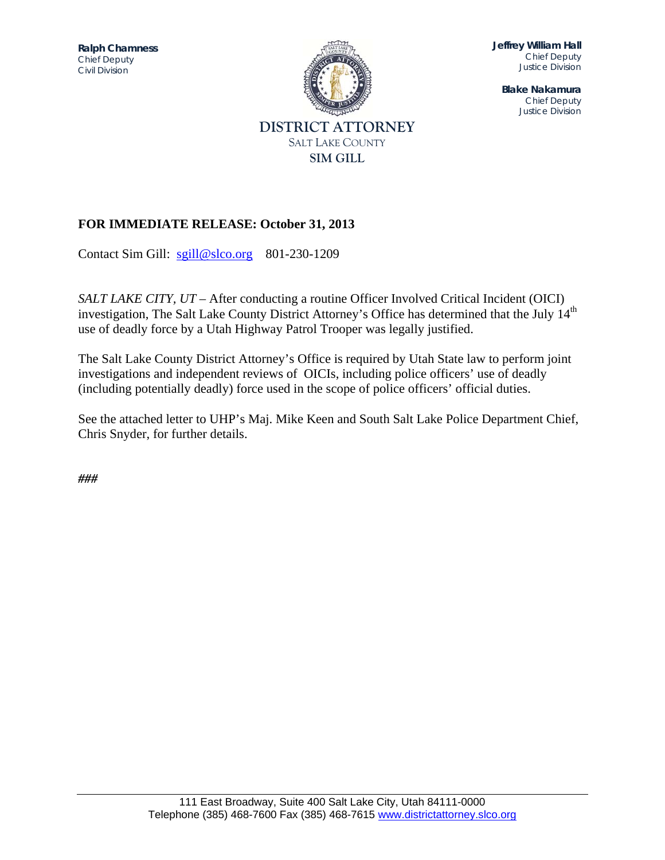*Chief Deputy* **Ralph Chamness**  *Civil Division* 



**Jeffrey William Hall**  *Chief Deputy Justice Division* 

**Blake Nakamura**  *Chief Deputy Justice Division* 

# **FOR IMMEDIATE RELEASE: October 31, 2013**

Contact Sim Gill: sgill@slco.org 801-230-1209

*SALT LAKE CITY, UT* – After conducting a routine Officer Involved Critical Incident (OICI) investigation, The Salt Lake County District Attorney's Office has determined that the July 14<sup>th</sup> use of deadly force by a Utah Highway Patrol Trooper was legally justified.

The Salt Lake County District Attorney's Office is required by Utah State law to perform joint investigations and independent reviews of OICIs, including police officers' use of deadly (including potentially deadly) force used in the scope of police officers' official duties.

See the attached letter to UHP's Maj. Mike Keen and South Salt Lake Police Department Chief, Chris Snyder, for further details.

*###*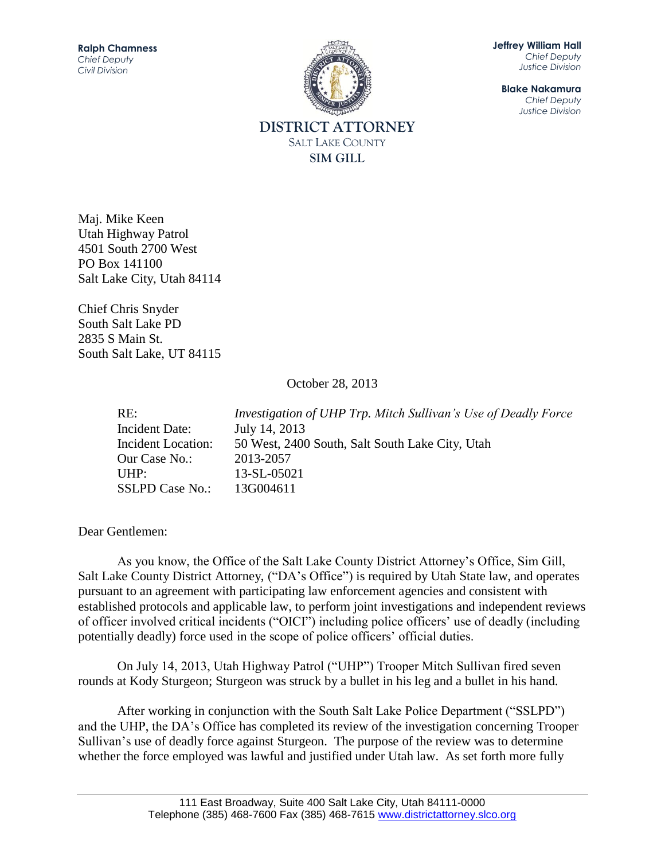

**Jeffrey William Hall** *Chief Deputy Justice Division*

**Blake Nakamura** *Chief Deputy Justice Division*

**DISTRICT ATTORNEY** SALT LAKE COUNTY **SIM GILL**

Maj. Mike Keen Utah Highway Patrol 4501 South 2700 West PO Box 141100 Salt Lake City, Utah 84114

Chief Chris Snyder South Salt Lake PD 2835 S Main St. South Salt Lake, UT 84115

October 28, 2013

RE: *Investigation of UHP Trp. Mitch Sullivan's Use of Deadly Force* Incident Date: July 14, 2013 Incident Location: 50 West, 2400 South, Salt South Lake City, Utah Our Case No.: 2013-2057 UHP: 13-SL-05021 SSLPD Case No.: 13G004611

Dear Gentlemen:

As you know, the Office of the Salt Lake County District Attorney's Office, Sim Gill, Salt Lake County District Attorney, ("DA's Office") is required by Utah State law, and operates pursuant to an agreement with participating law enforcement agencies and consistent with established protocols and applicable law, to perform joint investigations and independent reviews of officer involved critical incidents ("OICI") including police officers' use of deadly (including potentially deadly) force used in the scope of police officers' official duties.

On July 14, 2013, Utah Highway Patrol ("UHP") Trooper Mitch Sullivan fired seven rounds at Kody Sturgeon; Sturgeon was struck by a bullet in his leg and a bullet in his hand.

After working in conjunction with the South Salt Lake Police Department ("SSLPD") and the UHP, the DA's Office has completed its review of the investigation concerning Trooper Sullivan's use of deadly force against Sturgeon. The purpose of the review was to determine whether the force employed was lawful and justified under Utah law. As set forth more fully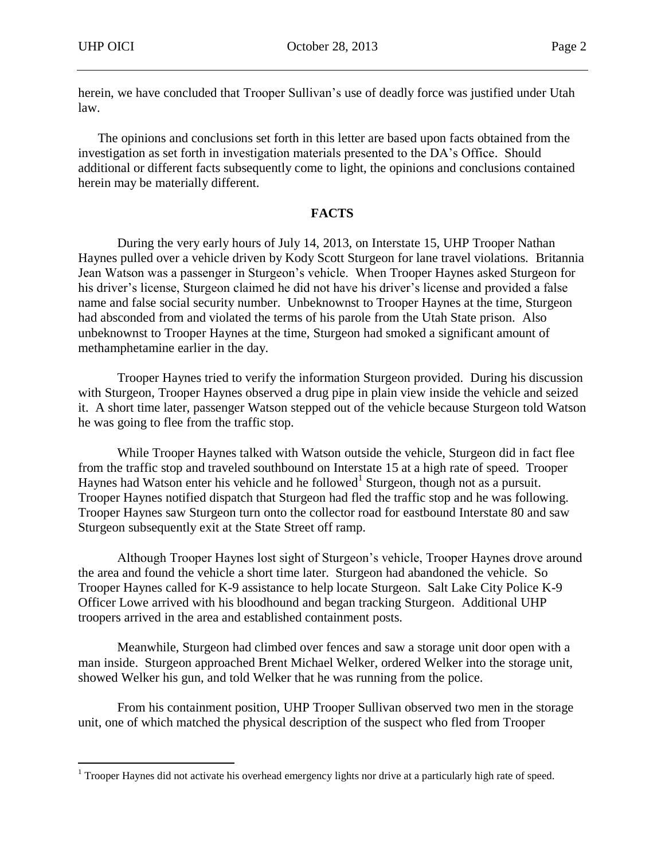$\overline{a}$ 

herein, we have concluded that Trooper Sullivan's use of deadly force was justified under Utah law.

The opinions and conclusions set forth in this letter are based upon facts obtained from the investigation as set forth in investigation materials presented to the DA's Office. Should additional or different facts subsequently come to light, the opinions and conclusions contained herein may be materially different.

# **FACTS**

During the very early hours of July 14, 2013, on Interstate 15, UHP Trooper Nathan Haynes pulled over a vehicle driven by Kody Scott Sturgeon for lane travel violations. Britannia Jean Watson was a passenger in Sturgeon's vehicle. When Trooper Haynes asked Sturgeon for his driver's license, Sturgeon claimed he did not have his driver's license and provided a false name and false social security number. Unbeknownst to Trooper Haynes at the time, Sturgeon had absconded from and violated the terms of his parole from the Utah State prison. Also unbeknownst to Trooper Haynes at the time, Sturgeon had smoked a significant amount of methamphetamine earlier in the day.

Trooper Haynes tried to verify the information Sturgeon provided. During his discussion with Sturgeon, Trooper Haynes observed a drug pipe in plain view inside the vehicle and seized it. A short time later, passenger Watson stepped out of the vehicle because Sturgeon told Watson he was going to flee from the traffic stop.

While Trooper Haynes talked with Watson outside the vehicle, Sturgeon did in fact flee from the traffic stop and traveled southbound on Interstate 15 at a high rate of speed. Trooper Haynes had Watson enter his vehicle and he followed<sup>1</sup> Sturgeon, though not as a pursuit. Trooper Haynes notified dispatch that Sturgeon had fled the traffic stop and he was following. Trooper Haynes saw Sturgeon turn onto the collector road for eastbound Interstate 80 and saw Sturgeon subsequently exit at the State Street off ramp.

Although Trooper Haynes lost sight of Sturgeon's vehicle, Trooper Haynes drove around the area and found the vehicle a short time later. Sturgeon had abandoned the vehicle. So Trooper Haynes called for K-9 assistance to help locate Sturgeon. Salt Lake City Police K-9 Officer Lowe arrived with his bloodhound and began tracking Sturgeon. Additional UHP troopers arrived in the area and established containment posts.

Meanwhile, Sturgeon had climbed over fences and saw a storage unit door open with a man inside. Sturgeon approached Brent Michael Welker, ordered Welker into the storage unit, showed Welker his gun, and told Welker that he was running from the police.

From his containment position, UHP Trooper Sullivan observed two men in the storage unit, one of which matched the physical description of the suspect who fled from Trooper

<sup>&</sup>lt;sup>1</sup> Trooper Haynes did not activate his overhead emergency lights nor drive at a particularly high rate of speed.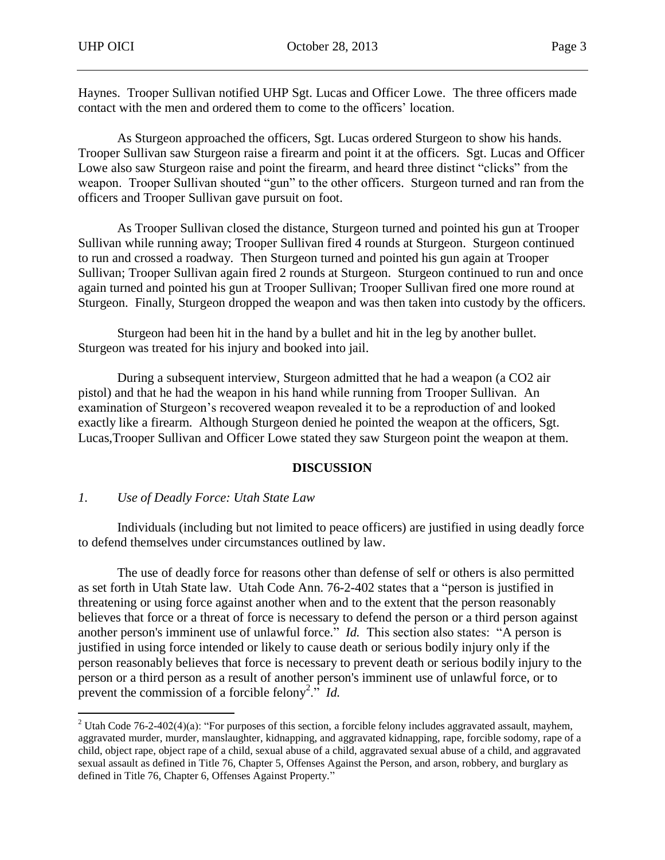Haynes. Trooper Sullivan notified UHP Sgt. Lucas and Officer Lowe. The three officers made contact with the men and ordered them to come to the officers' location.

As Sturgeon approached the officers, Sgt. Lucas ordered Sturgeon to show his hands. Trooper Sullivan saw Sturgeon raise a firearm and point it at the officers. Sgt. Lucas and Officer Lowe also saw Sturgeon raise and point the firearm, and heard three distinct "clicks" from the weapon. Trooper Sullivan shouted "gun" to the other officers. Sturgeon turned and ran from the officers and Trooper Sullivan gave pursuit on foot.

As Trooper Sullivan closed the distance, Sturgeon turned and pointed his gun at Trooper Sullivan while running away; Trooper Sullivan fired 4 rounds at Sturgeon. Sturgeon continued to run and crossed a roadway. Then Sturgeon turned and pointed his gun again at Trooper Sullivan; Trooper Sullivan again fired 2 rounds at Sturgeon. Sturgeon continued to run and once again turned and pointed his gun at Trooper Sullivan; Trooper Sullivan fired one more round at Sturgeon. Finally, Sturgeon dropped the weapon and was then taken into custody by the officers.

Sturgeon had been hit in the hand by a bullet and hit in the leg by another bullet. Sturgeon was treated for his injury and booked into jail.

During a subsequent interview, Sturgeon admitted that he had a weapon (a CO2 air pistol) and that he had the weapon in his hand while running from Trooper Sullivan. An examination of Sturgeon's recovered weapon revealed it to be a reproduction of and looked exactly like a firearm. Although Sturgeon denied he pointed the weapon at the officers, Sgt. Lucas,Trooper Sullivan and Officer Lowe stated they saw Sturgeon point the weapon at them.

### **DISCUSSION**

### *1. Use of Deadly Force: Utah State Law*

 $\overline{a}$ 

Individuals (including but not limited to peace officers) are justified in using deadly force to defend themselves under circumstances outlined by law.

The use of deadly force for reasons other than defense of self or others is also permitted as set forth in Utah State law. Utah Code Ann. 76-2-402 states that a "person is justified in threatening or using force against another when and to the extent that the person reasonably believes that force or a threat of force is necessary to defend the person or a third person against another person's imminent use of unlawful force." *Id.* This section also states: "A person is justified in using force intended or likely to cause death or serious bodily injury only if the person reasonably believes that force is necessary to prevent death or serious bodily injury to the person or a third person as a result of another person's imminent use of unlawful force, or to prevent the commission of a forcible felony<sup>2</sup>." *Id.* 

<sup>&</sup>lt;sup>2</sup> Utah Code 76-2-402(4)(a): "For purposes of this section, a forcible felony includes aggravated assault, mayhem, aggravated murder, murder, manslaughter, kidnapping, and aggravated kidnapping, rape, forcible sodomy, rape of a child, object rape, object rape of a child, sexual abuse of a child, aggravated sexual abuse of a child, and aggravated sexual assault as defined in Title 76, Chapter 5, Offenses Against the Person, and arson, robbery, and burglary as defined in Title 76, Chapter 6, Offenses Against Property."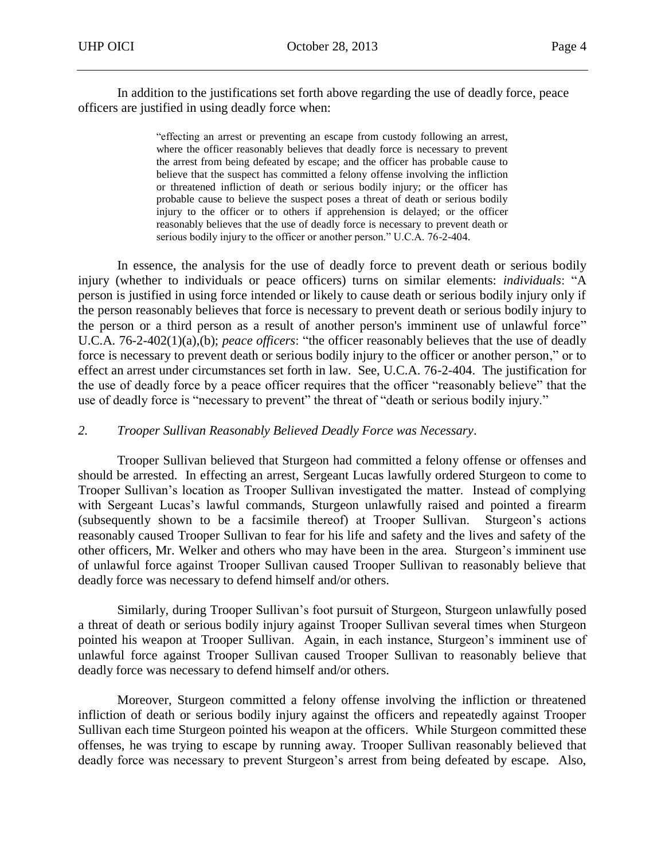In addition to the justifications set forth above regarding the use of deadly force, peace officers are justified in using deadly force when:

> "effecting an arrest or preventing an escape from custody following an arrest, where the officer reasonably believes that deadly force is necessary to prevent the arrest from being defeated by escape; and the officer has probable cause to believe that the suspect has committed a felony offense involving the infliction or threatened infliction of death or serious bodily injury; or the officer has probable cause to believe the suspect poses a threat of death or serious bodily injury to the officer or to others if apprehension is delayed; or the officer reasonably believes that the use of deadly force is necessary to prevent death or serious bodily injury to the officer or another person." U.C.A. 76-2-404.

In essence, the analysis for the use of deadly force to prevent death or serious bodily injury (whether to individuals or peace officers) turns on similar elements: *individuals*: "A person is justified in using force intended or likely to cause death or serious bodily injury only if the person reasonably believes that force is necessary to prevent death or serious bodily injury to the person or a third person as a result of another person's imminent use of unlawful force" U.C.A. 76-2-402(1)(a),(b); *peace officers*: "the officer reasonably believes that the use of deadly force is necessary to prevent death or serious bodily injury to the officer or another person," or to effect an arrest under circumstances set forth in law. See, U.C.A. 76-2-404. The justification for the use of deadly force by a peace officer requires that the officer "reasonably believe" that the use of deadly force is "necessary to prevent" the threat of "death or serious bodily injury."

#### *2. Trooper Sullivan Reasonably Believed Deadly Force was Necessary*.

Trooper Sullivan believed that Sturgeon had committed a felony offense or offenses and should be arrested. In effecting an arrest, Sergeant Lucas lawfully ordered Sturgeon to come to Trooper Sullivan's location as Trooper Sullivan investigated the matter. Instead of complying with Sergeant Lucas's lawful commands, Sturgeon unlawfully raised and pointed a firearm (subsequently shown to be a facsimile thereof) at Trooper Sullivan. Sturgeon's actions reasonably caused Trooper Sullivan to fear for his life and safety and the lives and safety of the other officers, Mr. Welker and others who may have been in the area. Sturgeon's imminent use of unlawful force against Trooper Sullivan caused Trooper Sullivan to reasonably believe that deadly force was necessary to defend himself and/or others.

Similarly, during Trooper Sullivan's foot pursuit of Sturgeon, Sturgeon unlawfully posed a threat of death or serious bodily injury against Trooper Sullivan several times when Sturgeon pointed his weapon at Trooper Sullivan. Again, in each instance, Sturgeon's imminent use of unlawful force against Trooper Sullivan caused Trooper Sullivan to reasonably believe that deadly force was necessary to defend himself and/or others.

Moreover, Sturgeon committed a felony offense involving the infliction or threatened infliction of death or serious bodily injury against the officers and repeatedly against Trooper Sullivan each time Sturgeon pointed his weapon at the officers. While Sturgeon committed these offenses, he was trying to escape by running away. Trooper Sullivan reasonably believed that deadly force was necessary to prevent Sturgeon's arrest from being defeated by escape. Also,